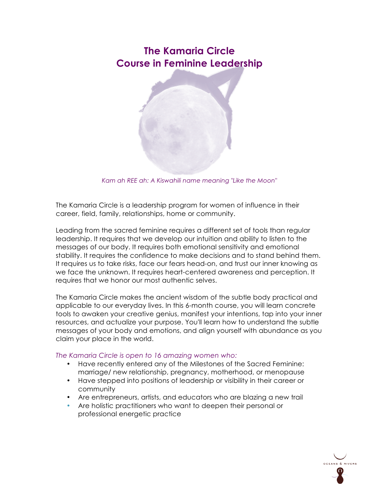# **The Kamaria Circle Course in Feminine Leadership**



*Kam ah REE ah: A Kiswahili name meaning "Like the Moon"*

The Kamaria Circle is a leadership program for women of influence in their career, field, family, relationships, home or community.

Leading from the sacred feminine requires a different set of tools than regular leadership. It requires that we develop our intuition and ability to listen to the messages of our body. It requires both emotional sensitivity and emotional stability. It requires the confidence to make decisions and to stand behind them. It requires us to take risks, face our fears head-on, and trust our inner knowing as we face the unknown. It requires heart-centered awareness and perception. It requires that we honor our most authentic selves.

The Kamaria Circle makes the ancient wisdom of the subtle body practical and applicable to our everyday lives. In this 6-month course, you will learn concrete tools to awaken your creative genius, manifest your intentions, tap into your inner resources, and actualize your purpose. You'll learn how to understand the subtle messages of your body and emotions, and align yourself with abundance as you claim your place in the world.

## *The Kamaria Circle is open to 16 amazing women who:*

- Have recently entered any of the Milestones of the Sacred Feminine: marriage/ new relationship, pregnancy, motherhood, or menopause
- Have stepped into positions of leadership or visibility in their career or community
- Are entrepreneurs, artists, and educators who are blazing a new trail
- Are holistic practitioners who want to deepen their personal or professional energetic practice

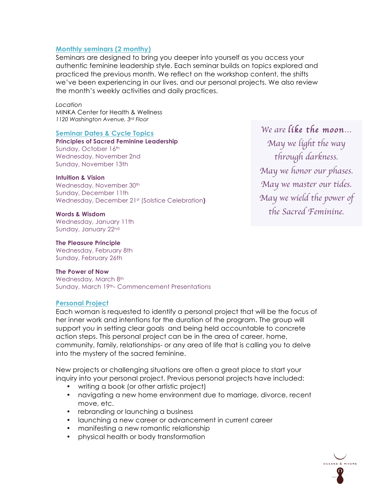## **Monthly seminars (2 monthy)**

Seminars are designed to bring you deeper into yourself as you access your authentic feminine leadership style. Each seminar builds on topics explored and practiced the previous month. We reflect on the workshop content, the shifts we've been experiencing in our lives, and our personal projects. We also review the month's weekly activities and daily practices.

*Location*  MINKA Center for Health & Wellness *1120 Washington Avenue, 3rd Floor*

#### **Seminar Dates & Cycle Topics**

**Principles of Sacred Feminine Leadership** Sunday, October 16th Wednesday, November 2nd Sunday, November 13th

#### **Intuition & Vision**

Wednesday, November 30<sup>th</sup> Sunday, December 11th Wednesday, December 21st (Solstice Celebration**)**

#### **Words & Wisdom**

Wednesday, January 11th Sunday, January 22nd

#### **The Pleasure Principle**

Wednesday, February 8th Sunday, February 26th

#### **The Power of Now**

Wednesday, March 8th Sunday, March 19th- Commencement Presentations

## **Personal Project**

Each woman is requested to identify a personal project that will be the focus of her inner work and intentions for the duration of the program. The group will support you in setting clear goals and being held accountable to concrete action steps. This personal project can be in the area of career, home, community, family, relationships- or any area of life that is calling you to delve into the mystery of the sacred feminine.

New projects or challenging situations are often a great place to start your inquiry into your personal project. Previous personal projects have included:

- writing a book (or other artistic project)
- navigating a new home environment due to marriage, divorce, recent move, etc.
- rebranding or launching a business
- launching a new career or advancement in current career
- manifesting a new romantic relationship
- physical health or body transformation

*We are like the moon… May we light the way through darkness. May we honor our phases. May we master our tides. May we wield the power of the Sacred Feminine.*

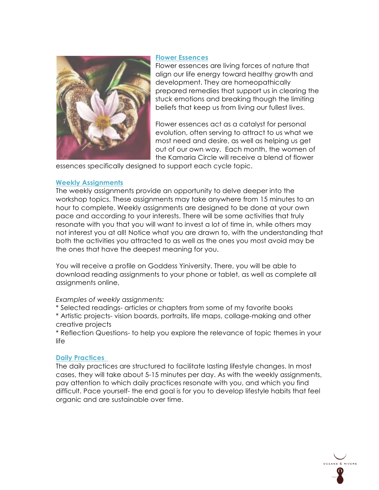## **Flower Essences**



Flower essences are living forces of nature that align our life energy toward healthy growth and development. They are homeopathically prepared remedies that support us in clearing the stuck emotions and breaking though the limiting beliefs that keep us from living our fullest lives.

Flower essences act as a catalyst for personal evolution, often serving to attract to us what we most need and desire, as well as helping us get out of our own way. Each month, the women of the Kamaria Circle will receive a blend of flower

essences specifically designed to support each cycle topic.

## **Weekly Assignments**

The weekly assignments provide an opportunity to delve deeper into the workshop topics. These assignments may take anywhere from 15 minutes to an hour to complete. Weekly assignments are designed to be done at your own pace and according to your interests. There will be some activities that truly resonate with you that you will want to invest a lot of time in, while others may not interest you at all! Notice what you are drawn to, with the understanding that both the activities you attracted to as well as the ones you most avoid may be the ones that have the deepest meaning for you.

You will receive a profile on Goddess Yiniversity. There, you will be able to download reading assignments to your phone or tablet, as well as complete all assignments online,

## *Examples of weekly assignments:*

- \* Selected readings- articles or chapters from some of my favorite books
- \* Artistic projects- vision boards, portraits, life maps, collage-making and other creative projects

\* Reflection Questions- to help you explore the relevance of topic themes in your life

## **Daily Practices**

The daily practices are structured to facilitate lasting lifestyle changes. In most cases, they will take about 5-15 minutes per day. As with the weekly assignments, pay attention to which daily practices resonate with you, and which you find difficult. Pace yourself- the end goal is for you to develop lifestyle habits that feel organic and are sustainable over time.